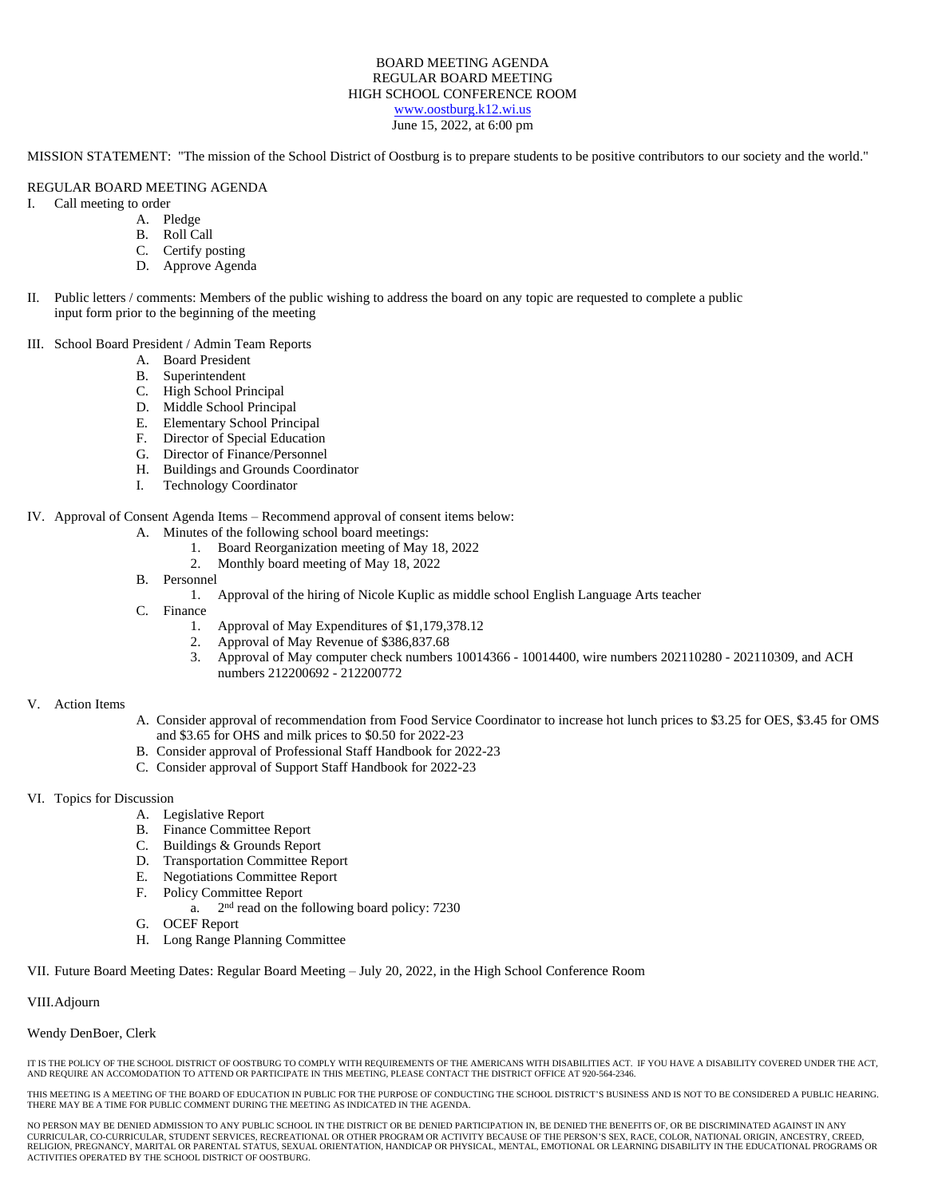#### BOARD MEETING AGENDA REGULAR BOARD MEETING HIGH SCHOOL CONFERENCE ROOM [www.oostburg.k12.wi.us](http://www.oostburg.k12.wi.us/) June 15, 2022, at 6:00 pm

MISSION STATEMENT: "The mission of the School District of Oostburg is to prepare students to be positive contributors to our society and the world."

#### REGULAR BOARD MEETING AGENDA

- I. Call meeting to order
	- A. Pledge
		- B. Roll Call
		- C. Certify posting
		- D. Approve Agenda
- II. Public letters / comments: Members of the public wishing to address the board on any topic are requested to complete a public input form prior to the beginning of the meeting
- III. School Board President / Admin Team Reports
	- A. Board President
	- B. Superintendent
	- C. High School Principal
	- D. Middle School Principal
	- E. Elementary School Principal
	- F. Director of Special Education
	- G. Director of Finance/Personnel
	- H. Buildings and Grounds Coordinator
	- I. Technology Coordinator
- IV. Approval of Consent Agenda Items Recommend approval of consent items below:
	- A. Minutes of the following school board meetings:
		- 1. Board Reorganization meeting of May 18, 2022
		- 2. Monthly board meeting of May 18, 2022
	- B. Personnel
		- 1. Approval of the hiring of Nicole Kuplic as middle school English Language Arts teacher
	- C. Finance
		- 1. Approval of May Expenditures of \$1,179,378.12
		- 2. Approval of May Revenue of \$386,837.68
		- 3. Approval of May computer check numbers 10014366 10014400, wire numbers 202110280 202110309, and ACH numbers 212200692 - 212200772

#### V. Action Items

- A. Consider approval of recommendation from Food Service Coordinator to increase hot lunch prices to \$3.25 for OES, \$3.45 for OMS and \$3.65 for OHS and milk prices to \$0.50 for 2022-23
- B. Consider approval of Professional Staff Handbook for 2022-23
- C. Consider approval of Support Staff Handbook for 2022-23

#### VI. Topics for Discussion

- A. Legislative Report
- B. Finance Committee Report
- C. Buildings & Grounds Report
- D. Transportation Committee Report
- E. Negotiations Committee Report
- F. Policy Committee Report
	- a.  $2<sup>nd</sup>$  read on the following board policy: 7230
- G. OCEF Report
- H. Long Range Planning Committee

#### VII. Future Board Meeting Dates: Regular Board Meeting – July 20, 2022, in the High School Conference Room

#### VIII.Adjourn

#### Wendy DenBoer, Clerk

IT IS THE POLICY OF THE SCHOOL DISTRICT OF OOSTBURG TO COMPLY WITH REQUIREMENTS OF THE AMERICANS WITH DISABILITIES ACT. IF YOU HAVE A DISABILITY COVERED UNDER THE ACT, AND REQUIRE AN ACCOMODATION TO ATTEND OR PARTICIPATE IN THIS MEETING, PLEASE CONTACT THE DISTRICT OFFICE AT 920-564-2346.

THIS MEETING IS A MEETING OF THE BOARD OF EDUCATION IN PUBLIC FOR THE PURPOSE OF CONDUCTING THE SCHOOL DISTRICT'S BUSINESS AND IS NOT TO BE CONSIDERED A PUBLIC HEARING. THERE MAY BE A TIME FOR PUBLIC COMMENT DURING THE MEETING AS INDICATED IN THE AGENDA.

NO PERSON MAY BE DENIED ADMISSION TO ANY PUBLIC SCHOOL IN THE DISTRICT OR BE DENIED PARTICIPATION IN, BE DENIED THE BENEFITS OF, OR BE DISCRIMINATED AGAINST IN ANY CURRICULAR, CO-CURRICULAR, STUDENT SERVICES, RECREATIONAL OR OTHER PROGRAM OR ACTIVITY BECAUSE OF THE PERSON'S SEX, RACE, COLOR, NATIONAL ORIGIN, ANCESTRY, CREED, RELIGION, PREGNANCY, MARITAL OR PARENTAL STATUS, SEXUAL ORIENTATION, HANDICAP OR PHYSICAL, MENTAL, EMOTIONAL OR LEARNING DISABILITY IN THE EDUCATIONAL PROGRAMS OR ACTIVITIES OPERATED BY THE SCHOOL DISTRICT OF OOSTBURG.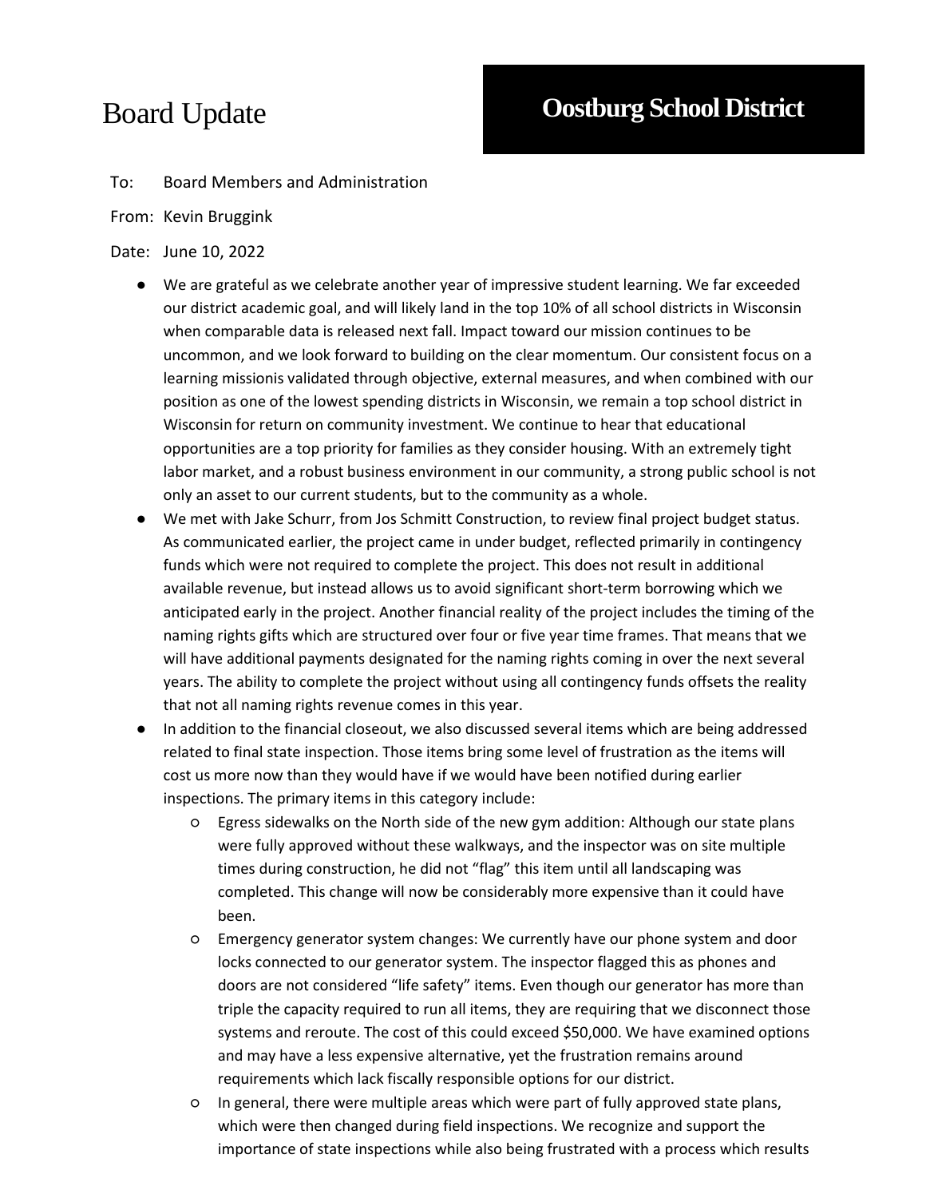### To: Board Members and Administration

#### From: Kevin Bruggink

#### Date: June 10, 2022

- We are grateful as we celebrate another year of impressive student learning. We far exceeded our district academic goal, and will likely land in the top 10% of all school districts in Wisconsin when comparable data is released next fall. Impact toward our mission continues to be uncommon, and we look forward to building on the clear momentum. Our consistent focus on a learning missionis validated through objective, external measures, and when combined with our position as one of the lowest spending districts in Wisconsin, we remain a top school district in Wisconsin for return on community investment. We continue to hear that educational opportunities are a top priority for families as they consider housing. With an extremely tight labor market, and a robust business environment in our community, a strong public school is not only an asset to our current students, but to the community as a whole.
- We met with Jake Schurr, from Jos Schmitt Construction, to review final project budget status. As communicated earlier, the project came in under budget, reflected primarily in contingency funds which were not required to complete the project. This does not result in additional available revenue, but instead allows us to avoid significant short-term borrowing which we anticipated early in the project. Another financial reality of the project includes the timing of the naming rights gifts which are structured over four or five year time frames. That means that we will have additional payments designated for the naming rights coming in over the next several years. The ability to complete the project without using all contingency funds offsets the reality that not all naming rights revenue comes in this year.
- In addition to the financial closeout, we also discussed several items which are being addressed related to final state inspection. Those items bring some level of frustration as the items will cost us more now than they would have if we would have been notified during earlier inspections. The primary items in this category include:
	- Egress sidewalks on the North side of the new gym addition: Although our state plans were fully approved without these walkways, and the inspector was on site multiple times during construction, he did not "flag" this item until all landscaping was completed. This change will now be considerably more expensive than it could have been.
	- Emergency generator system changes: We currently have our phone system and door locks connected to our generator system. The inspector flagged this as phones and doors are not considered "life safety" items. Even though our generator has more than triple the capacity required to run all items, they are requiring that we disconnect those systems and reroute. The cost of this could exceed \$50,000. We have examined options and may have a less expensive alternative, yet the frustration remains around requirements which lack fiscally responsible options for our district.
	- In general, there were multiple areas which were part of fully approved state plans, which were then changed during field inspections. We recognize and support the importance of state inspections while also being frustrated with a process which results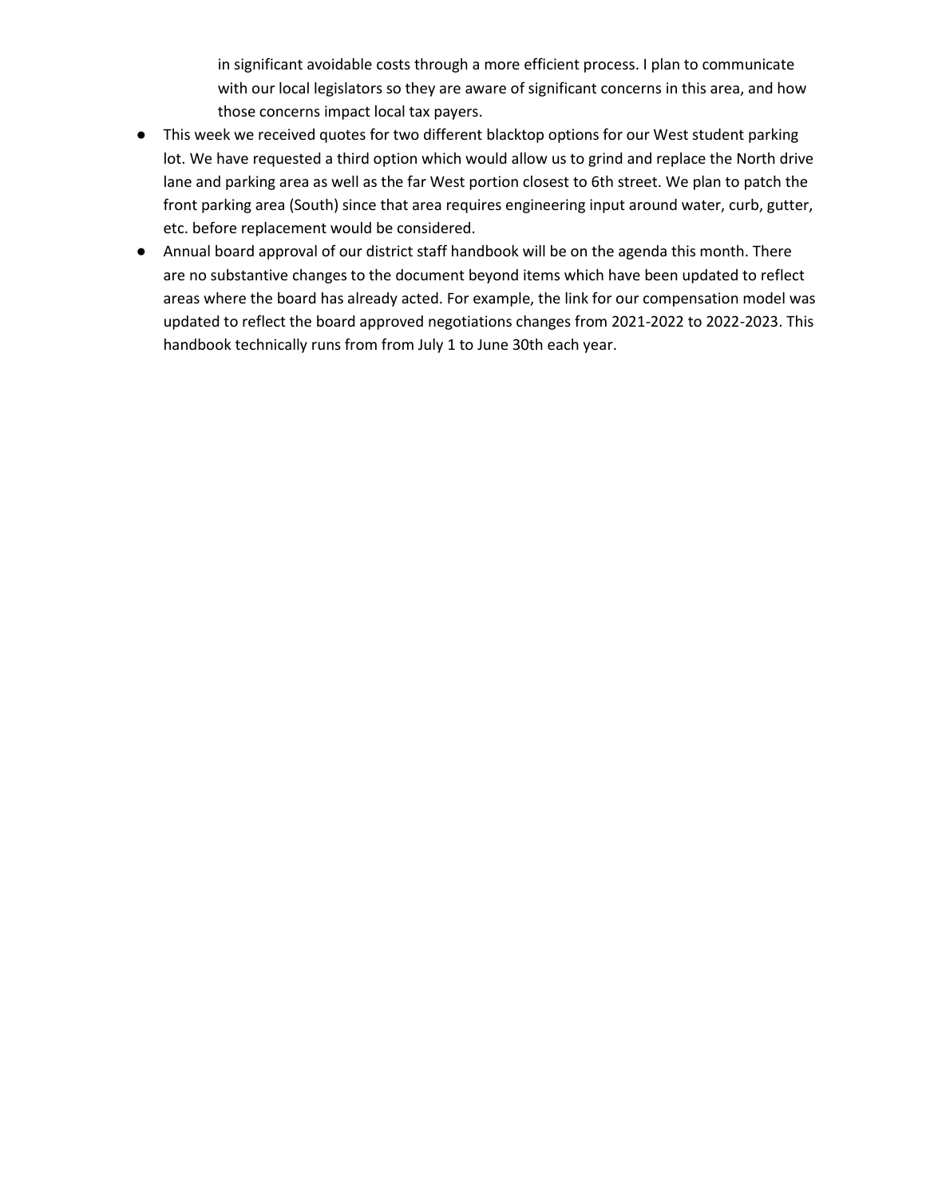in significant avoidable costs through a more efficient process. I plan to communicate with our local legislators so they are aware of significant concerns in this area, and how those concerns impact local tax payers.

- This week we received quotes for two different blacktop options for our West student parking lot. We have requested a third option which would allow us to grind and replace the North drive lane and parking area as well as the far West portion closest to 6th street. We plan to patch the front parking area (South) since that area requires engineering input around water, curb, gutter, etc. before replacement would be considered.
- Annual board approval of our district staff handbook will be on the agenda this month. There are no substantive changes to the document beyond items which have been updated to reflect areas where the board has already acted. For example, the link for our compensation model was updated to reflect the board approved negotiations changes from 2021-2022 to 2022-2023. This handbook technically runs from from July 1 to June 30th each year.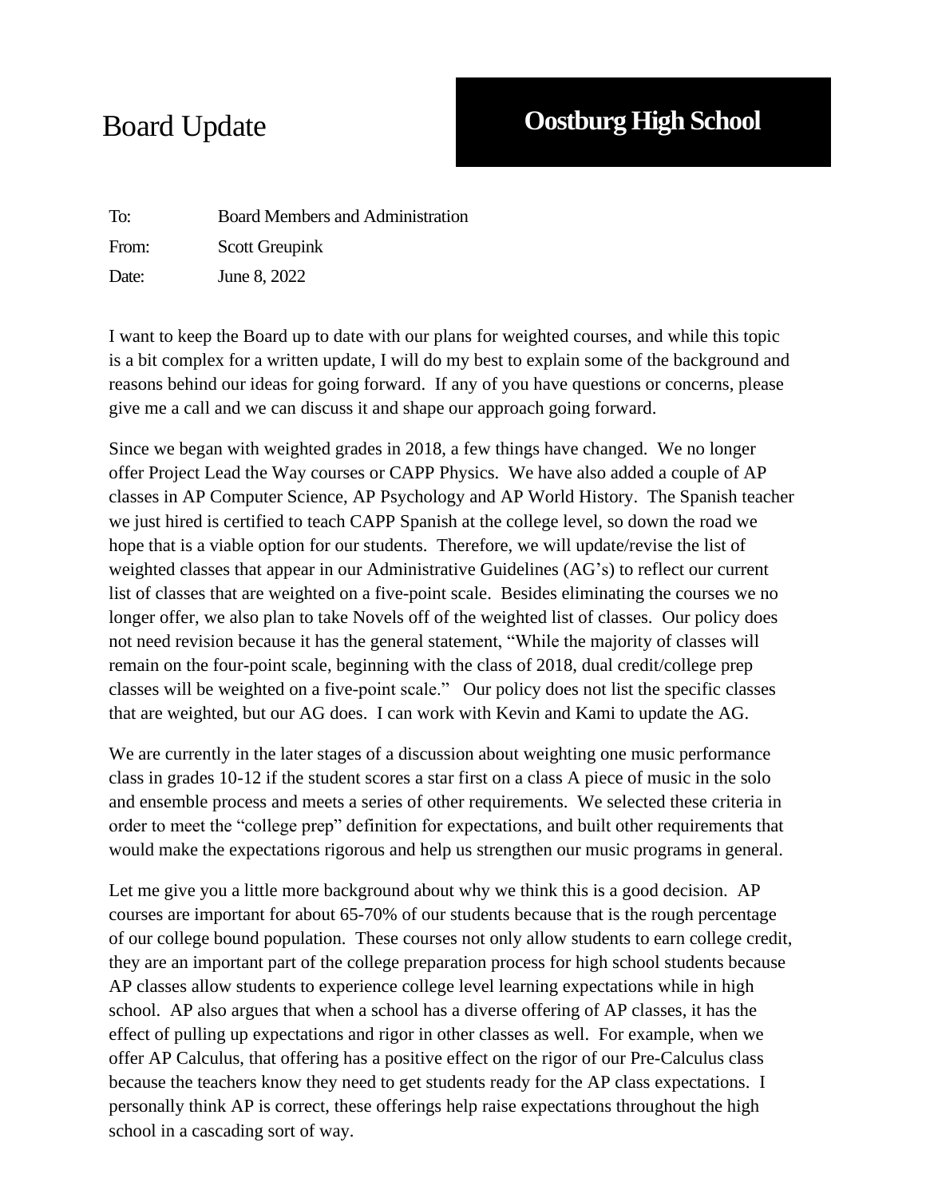To: Board Members and Administration From: Scott Greupink Date: June 8, 2022

I want to keep the Board up to date with our plans for weighted courses, and while this topic is a bit complex for a written update, I will do my best to explain some of the background and reasons behind our ideas for going forward. If any of you have questions or concerns, please give me a call and we can discuss it and shape our approach going forward.

Since we began with weighted grades in 2018, a few things have changed. We no longer offer Project Lead the Way courses or CAPP Physics. We have also added a couple of AP classes in AP Computer Science, AP Psychology and AP World History. The Spanish teacher we just hired is certified to teach CAPP Spanish at the college level, so down the road we hope that is a viable option for our students. Therefore, we will update/revise the list of weighted classes that appear in our Administrative Guidelines (AG's) to reflect our current list of classes that are weighted on a five-point scale. Besides eliminating the courses we no longer offer, we also plan to take Novels off of the weighted list of classes. Our policy does not need revision because it has the general statement, "While the majority of classes will remain on the four-point scale, beginning with the class of 2018, dual credit/college prep classes will be weighted on a five-point scale." Our policy does not list the specific classes that are weighted, but our AG does. I can work with Kevin and Kami to update the AG.

We are currently in the later stages of a discussion about weighting one music performance class in grades 10-12 if the student scores a star first on a class A piece of music in the solo and ensemble process and meets a series of other requirements. We selected these criteria in order to meet the "college prep" definition for expectations, and built other requirements that would make the expectations rigorous and help us strengthen our music programs in general.

Let me give you a little more background about why we think this is a good decision. AP courses are important for about 65-70% of our students because that is the rough percentage of our college bound population. These courses not only allow students to earn college credit, they are an important part of the college preparation process for high school students because AP classes allow students to experience college level learning expectations while in high school. AP also argues that when a school has a diverse offering of AP classes, it has the effect of pulling up expectations and rigor in other classes as well. For example, when we offer AP Calculus, that offering has a positive effect on the rigor of our Pre-Calculus class because the teachers know they need to get students ready for the AP class expectations. I personally think AP is correct, these offerings help raise expectations throughout the high school in a cascading sort of way.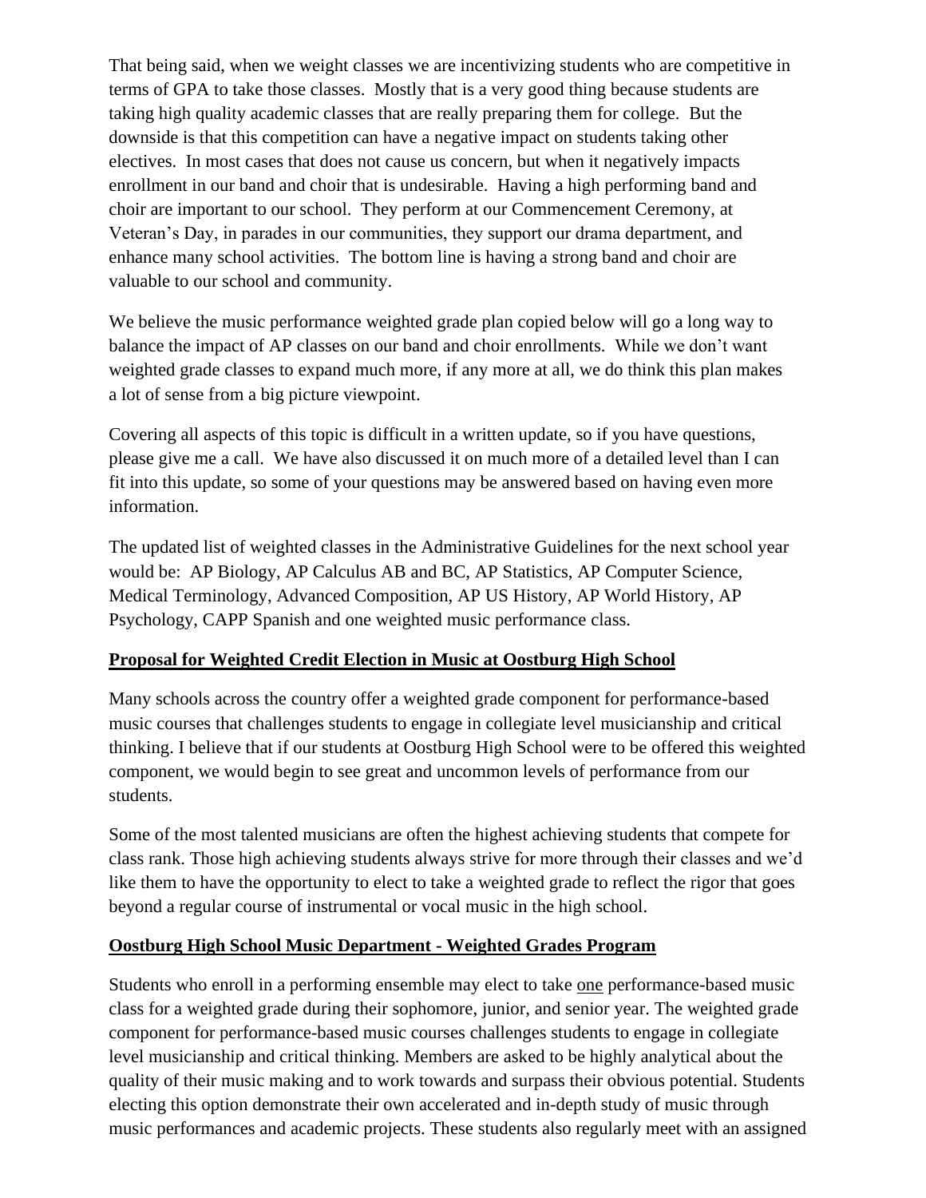That being said, when we weight classes we are incentivizing students who are competitive in terms of GPA to take those classes. Mostly that is a very good thing because students are taking high quality academic classes that are really preparing them for college. But the downside is that this competition can have a negative impact on students taking other electives. In most cases that does not cause us concern, but when it negatively impacts enrollment in our band and choir that is undesirable. Having a high performing band and choir are important to our school. They perform at our Commencement Ceremony, at Veteran's Day, in parades in our communities, they support our drama department, and enhance many school activities. The bottom line is having a strong band and choir are valuable to our school and community.

We believe the music performance weighted grade plan copied below will go a long way to balance the impact of AP classes on our band and choir enrollments. While we don't want weighted grade classes to expand much more, if any more at all, we do think this plan makes a lot of sense from a big picture viewpoint.

Covering all aspects of this topic is difficult in a written update, so if you have questions, please give me a call. We have also discussed it on much more of a detailed level than I can fit into this update, so some of your questions may be answered based on having even more information.

The updated list of weighted classes in the Administrative Guidelines for the next school year would be: AP Biology, AP Calculus AB and BC, AP Statistics, AP Computer Science, Medical Terminology, Advanced Composition, AP US History, AP World History, AP Psychology, CAPP Spanish and one weighted music performance class.

### **Proposal for Weighted Credit Election in Music at Oostburg High School**

Many schools across the country offer a weighted grade component for performance-based music courses that challenges students to engage in collegiate level musicianship and critical thinking. I believe that if our students at Oostburg High School were to be offered this weighted component, we would begin to see great and uncommon levels of performance from our students.

Some of the most talented musicians are often the highest achieving students that compete for class rank. Those high achieving students always strive for more through their classes and we'd like them to have the opportunity to elect to take a weighted grade to reflect the rigor that goes beyond a regular course of instrumental or vocal music in the high school.

### **Oostburg High School Music Department - Weighted Grades Program**

Students who enroll in a performing ensemble may elect to take one performance-based music class for a weighted grade during their sophomore, junior, and senior year. The weighted grade component for performance-based music courses challenges students to engage in collegiate level musicianship and critical thinking. Members are asked to be highly analytical about the quality of their music making and to work towards and surpass their obvious potential. Students electing this option demonstrate their own accelerated and in-depth study of music through music performances and academic projects. These students also regularly meet with an assigned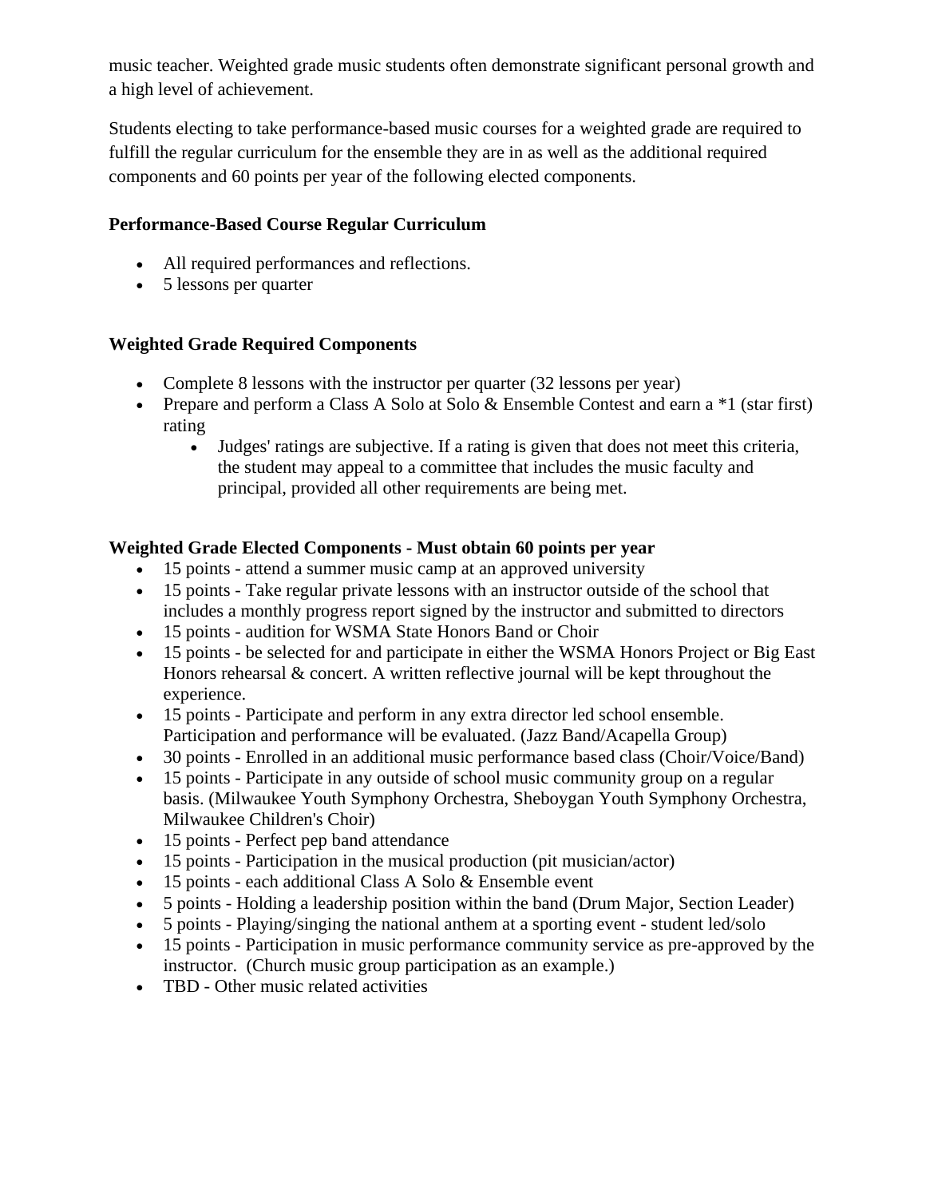music teacher. Weighted grade music students often demonstrate significant personal growth and a high level of achievement.

Students electing to take performance-based music courses for a weighted grade are required to fulfill the regular curriculum for the ensemble they are in as well as the additional required components and 60 points per year of the following elected components.

## **Performance-Based Course Regular Curriculum**

- All required performances and reflections.
- 5 lessons per quarter

## **Weighted Grade Required Components**

- Complete 8 lessons with the instructor per quarter (32 lessons per year)
- Prepare and perform a Class A Solo at Solo & Ensemble Contest and earn a  $*1$  (star first) rating
	- Judges' ratings are subjective. If a rating is given that does not meet this criteria, the student may appeal to a committee that includes the music faculty and principal, provided all other requirements are being met.

### **Weighted Grade Elected Components - Must obtain 60 points per year**

- 15 points attend a summer music camp at an approved university
- 15 points Take regular private lessons with an instructor outside of the school that includes a monthly progress report signed by the instructor and submitted to directors
- 15 points audition for WSMA State Honors Band or Choir
- 15 points be selected for and participate in either the WSMA Honors Project or Big East Honors rehearsal & concert. A written reflective journal will be kept throughout the experience.
- 15 points Participate and perform in any extra director led school ensemble. Participation and performance will be evaluated. (Jazz Band/Acapella Group)
- 30 points Enrolled in an additional music performance based class (Choir/Voice/Band)
- 15 points Participate in any outside of school music community group on a regular basis. (Milwaukee Youth Symphony Orchestra, Sheboygan Youth Symphony Orchestra, Milwaukee Children's Choir)
- 15 points Perfect pep band attendance
- 15 points Participation in the musical production (pit musician/actor)
- 15 points each additional Class A Solo & Ensemble event
- 5 points Holding a leadership position within the band (Drum Major, Section Leader)
- 5 points Playing/singing the national anthem at a sporting event student led/solo
- 15 points Participation in music performance community service as pre-approved by the instructor. (Church music group participation as an example.)
- TBD Other music related activities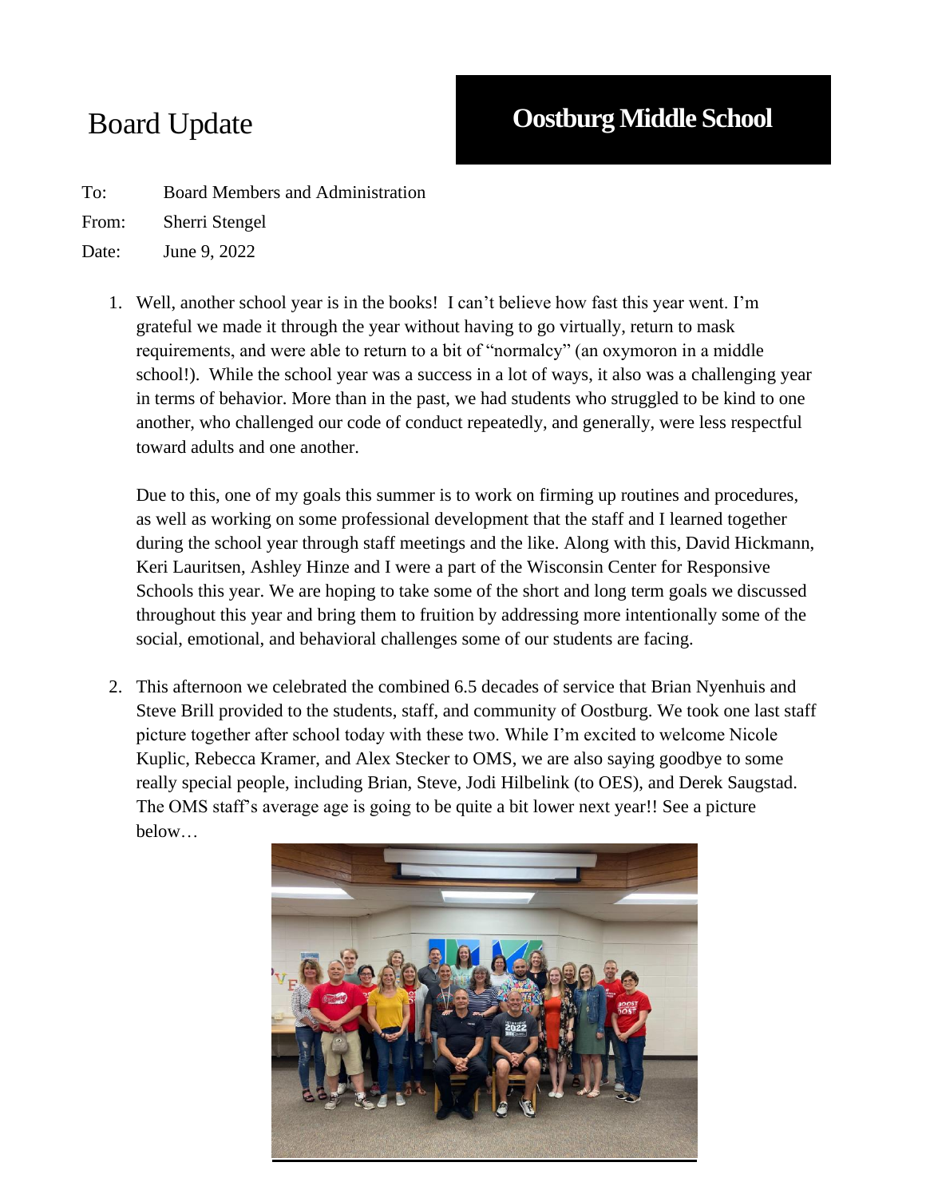To: Board Members and Administration

From: Sherri Stengel

Date: June 9, 2022

1. Well, another school year is in the books! I can't believe how fast this year went. I'm grateful we made it through the year without having to go virtually, return to mask requirements, and were able to return to a bit of "normalcy" (an oxymoron in a middle school!). While the school year was a success in a lot of ways, it also was a challenging year in terms of behavior. More than in the past, we had students who struggled to be kind to one another, who challenged our code of conduct repeatedly, and generally, were less respectful toward adults and one another.

Due to this, one of my goals this summer is to work on firming up routines and procedures, as well as working on some professional development that the staff and I learned together during the school year through staff meetings and the like. Along with this, David Hickmann, Keri Lauritsen, Ashley Hinze and I were a part of the Wisconsin Center for Responsive Schools this year. We are hoping to take some of the short and long term goals we discussed throughout this year and bring them to fruition by addressing more intentionally some of the social, emotional, and behavioral challenges some of our students are facing.

2. This afternoon we celebrated the combined 6.5 decades of service that Brian Nyenhuis and Steve Brill provided to the students, staff, and community of Oostburg. We took one last staff picture together after school today with these two. While I'm excited to welcome Nicole Kuplic, Rebecca Kramer, and Alex Stecker to OMS, we are also saying goodbye to some really special people, including Brian, Steve, Jodi Hilbelink (to OES), and Derek Saugstad. The OMS staff's average age is going to be quite a bit lower next year!! See a picture below…

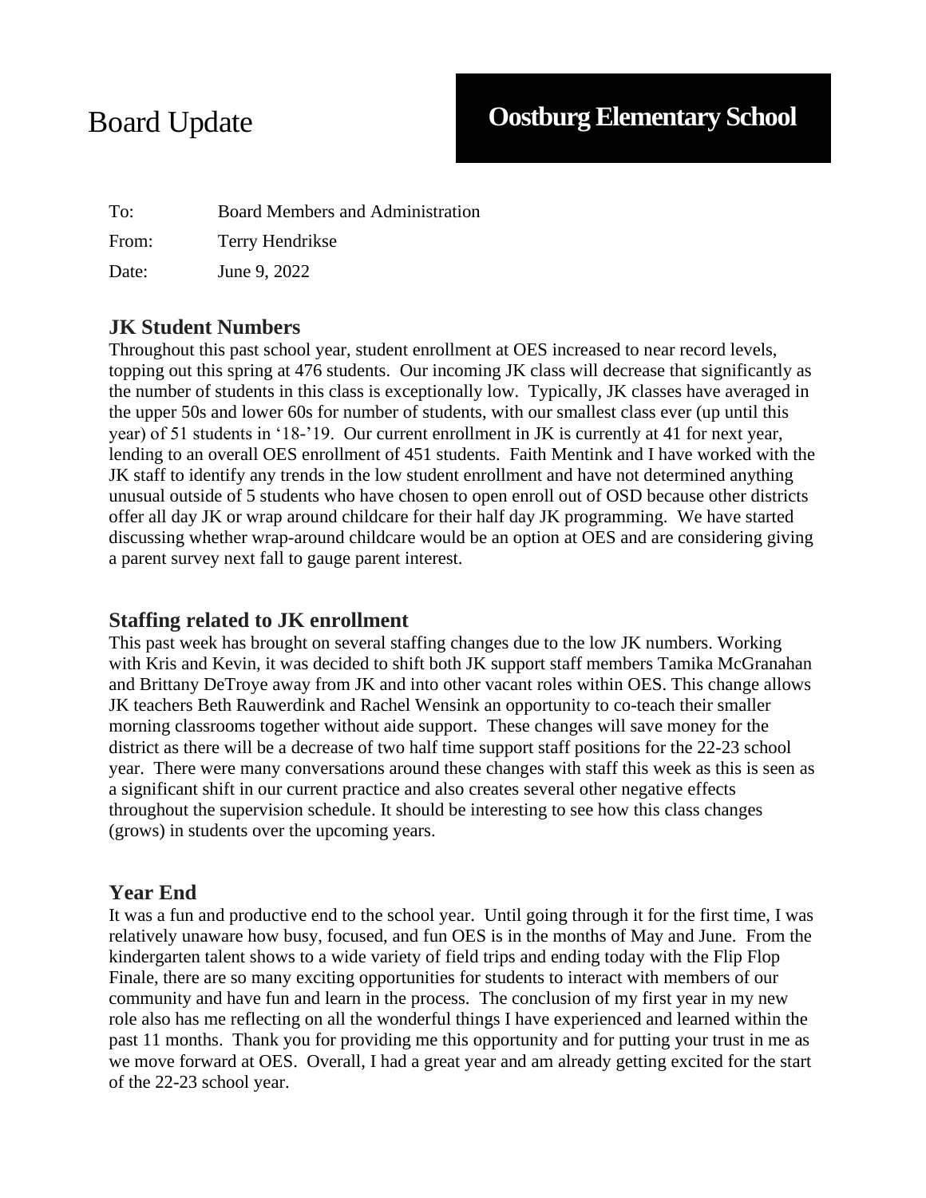To: Board Members and Administration From: Terry Hendrikse Date: June 9, 2022

## **JK Student Numbers**

Throughout this past school year, student enrollment at OES increased to near record levels, topping out this spring at 476 students. Our incoming JK class will decrease that significantly as the number of students in this class is exceptionally low. Typically, JK classes have averaged in the upper 50s and lower 60s for number of students, with our smallest class ever (up until this year) of 51 students in '18-'19. Our current enrollment in JK is currently at 41 for next year, lending to an overall OES enrollment of 451 students. Faith Mentink and I have worked with the JK staff to identify any trends in the low student enrollment and have not determined anything unusual outside of 5 students who have chosen to open enroll out of OSD because other districts offer all day JK or wrap around childcare for their half day JK programming. We have started discussing whether wrap-around childcare would be an option at OES and are considering giving a parent survey next fall to gauge parent interest.

## **Staffing related to JK enrollment**

This past week has brought on several staffing changes due to the low JK numbers. Working with Kris and Kevin, it was decided to shift both JK support staff members Tamika McGranahan and Brittany DeTroye away from JK and into other vacant roles within OES. This change allows JK teachers Beth Rauwerdink and Rachel Wensink an opportunity to co-teach their smaller morning classrooms together without aide support. These changes will save money for the district as there will be a decrease of two half time support staff positions for the 22-23 school year. There were many conversations around these changes with staff this week as this is seen as a significant shift in our current practice and also creates several other negative effects throughout the supervision schedule. It should be interesting to see how this class changes (grows) in students over the upcoming years.

## **Year End**

It was a fun and productive end to the school year. Until going through it for the first time, I was relatively unaware how busy, focused, and fun OES is in the months of May and June. From the kindergarten talent shows to a wide variety of field trips and ending today with the Flip Flop Finale, there are so many exciting opportunities for students to interact with members of our community and have fun and learn in the process. The conclusion of my first year in my new role also has me reflecting on all the wonderful things I have experienced and learned within the past 11 months. Thank you for providing me this opportunity and for putting your trust in me as we move forward at OES. Overall, I had a great year and am already getting excited for the start of the 22-23 school year.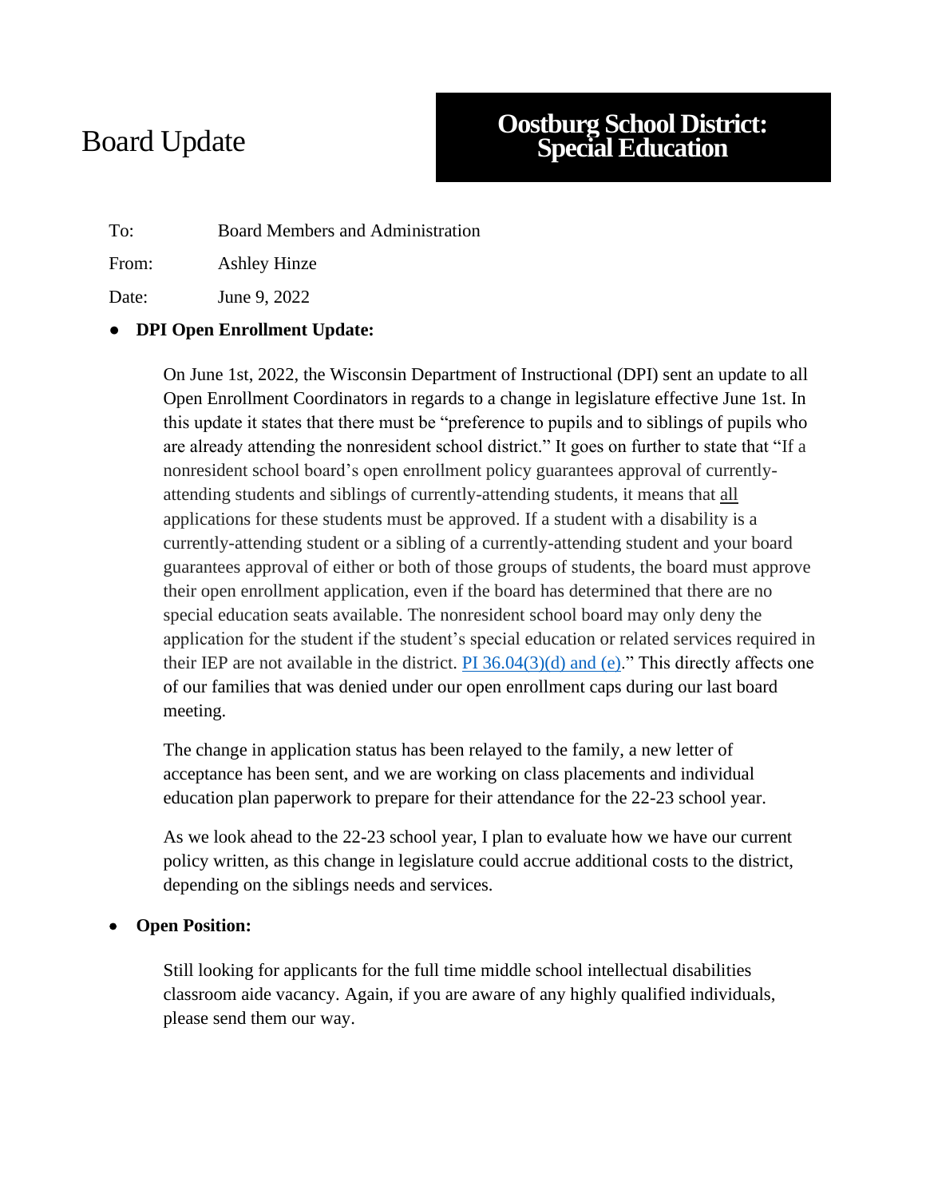# Board Update

# **Oostburg School District: Special Education**

To: Board Members and Administration

From: Ashley Hinze

Date: June 9, 2022

## **DPI Open Enrollment Update:**

On June 1st, 2022, the Wisconsin Department of Instructional (DPI) sent an update to all Open Enrollment Coordinators in regards to a change in legislature effective June 1st. In this update it states that there must be "preference to pupils and to siblings of pupils who are already attending the nonresident school district." It goes on further to state that "If a nonresident school board's open enrollment policy guarantees approval of currentlyattending students and siblings of currently-attending students, it means that all applications for these students must be approved. If a student with a disability is a currently-attending student or a sibling of a currently-attending student and your board guarantees approval of either or both of those groups of students, the board must approve their open enrollment application, even if the board has determined that there are no special education seats available. The nonresident school board may only deny the application for the student if the student's special education or related services required in their IEP are not available in the district.  $PI\ 36.04(3)(d)$  and (e)." This directly affects one of our families that was denied under our open enrollment caps during our last board meeting.

The change in application status has been relayed to the family, a new letter of acceptance has been sent, and we are working on class placements and individual education plan paperwork to prepare for their attendance for the 22-23 school year.

As we look ahead to the 22-23 school year, I plan to evaluate how we have our current policy written, as this change in legislature could accrue additional costs to the district, depending on the siblings needs and services.

### • **Open Position:**

Still looking for applicants for the full time middle school intellectual disabilities classroom aide vacancy. Again, if you are aware of any highly qualified individuals, please send them our way.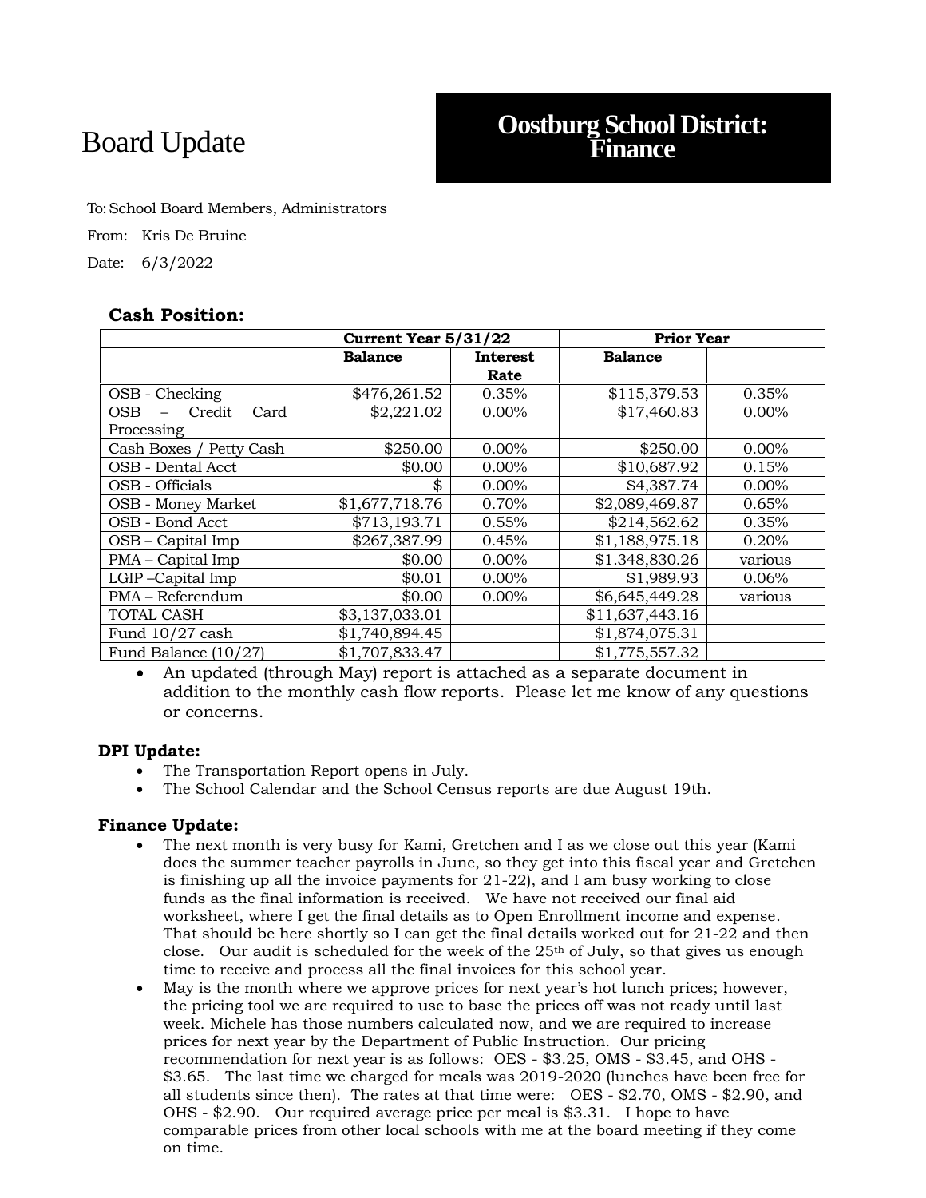# Board Update **Oostburg School District: Finance**

To:School Board Members, Administrators From: Kris De Bruine Date: 6/3/2022

## **Cash Position:**

|                           | Current Year 5/31/22 |             | <b>Prior Year</b> |          |
|---------------------------|----------------------|-------------|-------------------|----------|
|                           | <b>Balance</b>       | Interest    | <b>Balance</b>    |          |
|                           |                      | <b>Rate</b> |                   |          |
| OSB - Checking            | \$476,261.52         | 0.35%       | \$115,379.53      | 0.35%    |
| OSB.<br>Credit<br>Card    | \$2,221.02           | $0.00\%$    | \$17,460.83       | $0.00\%$ |
| Processing                |                      |             |                   |          |
| Cash Boxes / Petty Cash   | \$250.00             | $0.00\%$    | \$250.00          | $0.00\%$ |
| OSB - Dental Acct         | \$0.00               | $0.00\%$    | \$10,687.92       | 0.15%    |
| OSB - Officials           | \$                   | $0.00\%$    | \$4,387.74        | 0.00%    |
| <b>OSB</b> - Money Market | \$1,677,718.76       | 0.70%       | \$2,089,469.87    | 0.65%    |
| OSB - Bond Acct           | \$713,193.71         | 0.55%       | \$214,562.62      | 0.35%    |
| $OSB - Capital Imp$       | \$267,387.99         | 0.45%       | \$1,188,975.18    | 0.20%    |
| PMA – Capital Imp         | \$0.00               | $0.00\%$    | \$1.348,830.26    | various  |
| LGIP-Capital Imp          | \$0.01               | 0.00%       | \$1,989.93        | 0.06%    |
| PMA - Referendum          | \$0.00               | $0.00\%$    | \$6,645,449.28    | various  |
| TOTAL CASH                | \$3,137,033.01       |             | \$11,637,443.16   |          |
| Fund $10/27$ cash         | \$1,740,894.45       |             | \$1,874,075.31    |          |
| Fund Balance (10/27)      | \$1,707,833.47       |             | \$1,775,557.32    |          |

• An updated (through May) report is attached as a separate document in addition to the monthly cash flow reports. Please let me know of any questions or concerns.

#### **DPI Update:**

- The Transportation Report opens in July.
- The School Calendar and the School Census reports are due August 19th.

### **Finance Update:**

- The next month is very busy for Kami, Gretchen and I as we close out this year (Kami does the summer teacher payrolls in June, so they get into this fiscal year and Gretchen is finishing up all the invoice payments for 21-22), and I am busy working to close funds as the final information is received. We have not received our final aid worksheet, where I get the final details as to Open Enrollment income and expense. That should be here shortly so I can get the final details worked out for 21-22 and then close. Our audit is scheduled for the week of the  $25<sup>th</sup>$  of July, so that gives us enough time to receive and process all the final invoices for this school year.
- May is the month where we approve prices for next year's hot lunch prices; however, the pricing tool we are required to use to base the prices off was not ready until last week. Michele has those numbers calculated now, and we are required to increase prices for next year by the Department of Public Instruction. Our pricing recommendation for next year is as follows: OES - \$3.25, OMS - \$3.45, and OHS - \$3.65. The last time we charged for meals was 2019-2020 (lunches have been free for all students since then). The rates at that time were: OES - \$2.70, OMS - \$2.90, and OHS - \$2.90. Our required average price per meal is \$3.31. I hope to have comparable prices from other local schools with me at the board meeting if they come on time.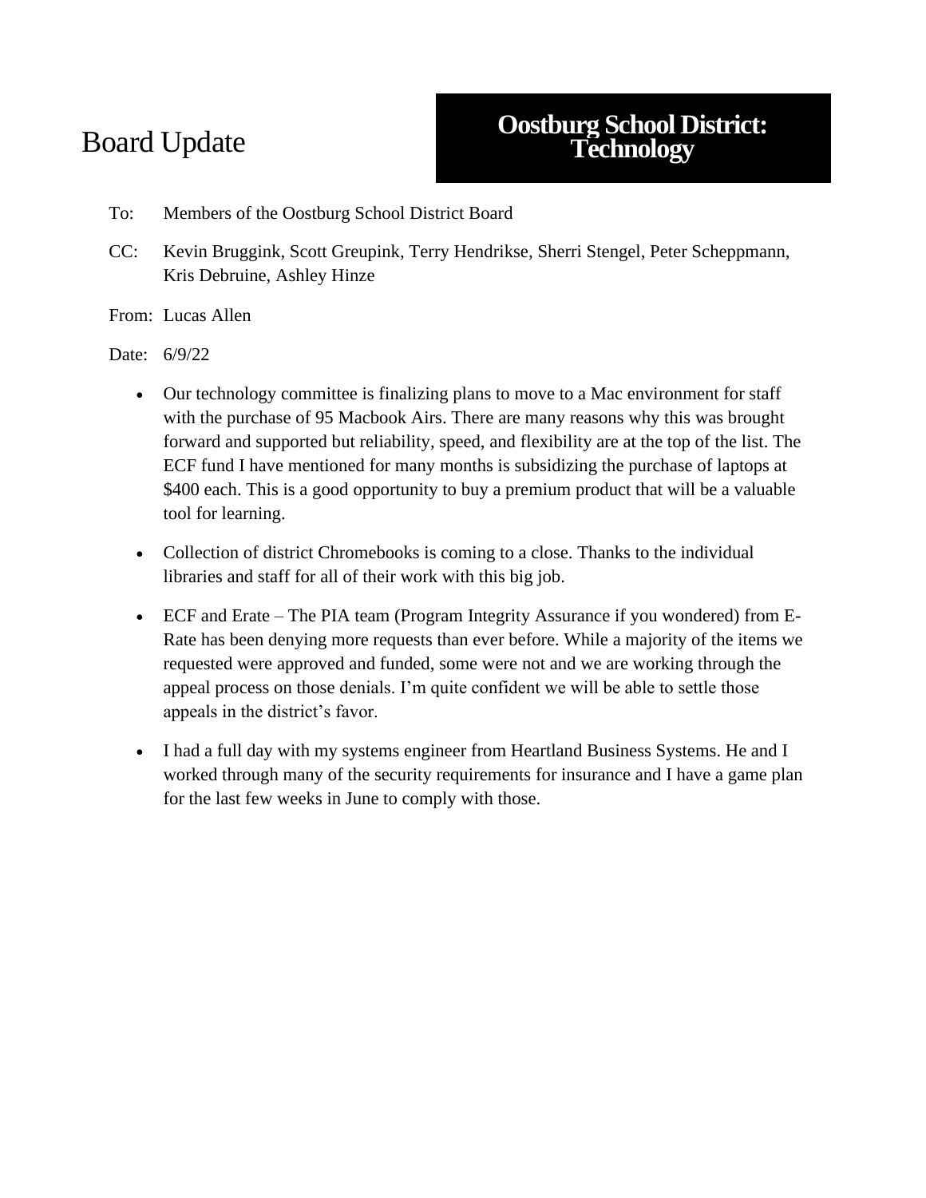# Board Update

# **Oostburg School District: Technology**

- To: Members of the Oostburg School District Board
- CC: Kevin Bruggink, Scott Greupink, Terry Hendrikse, Sherri Stengel, Peter Scheppmann, Kris Debruine, Ashley Hinze

From: Lucas Allen

Date: 6/9/22

- Our technology committee is finalizing plans to move to a Mac environment for staff with the purchase of 95 Macbook Airs. There are many reasons why this was brought forward and supported but reliability, speed, and flexibility are at the top of the list. The ECF fund I have mentioned for many months is subsidizing the purchase of laptops at \$400 each. This is a good opportunity to buy a premium product that will be a valuable tool for learning.
- Collection of district Chromebooks is coming to a close. Thanks to the individual libraries and staff for all of their work with this big job.
- ECF and Erate The PIA team (Program Integrity Assurance if you wondered) from E-Rate has been denying more requests than ever before. While a majority of the items we requested were approved and funded, some were not and we are working through the appeal process on those denials. I'm quite confident we will be able to settle those appeals in the district's favor.
- I had a full day with my systems engineer from Heartland Business Systems. He and I worked through many of the security requirements for insurance and I have a game plan for the last few weeks in June to comply with those.